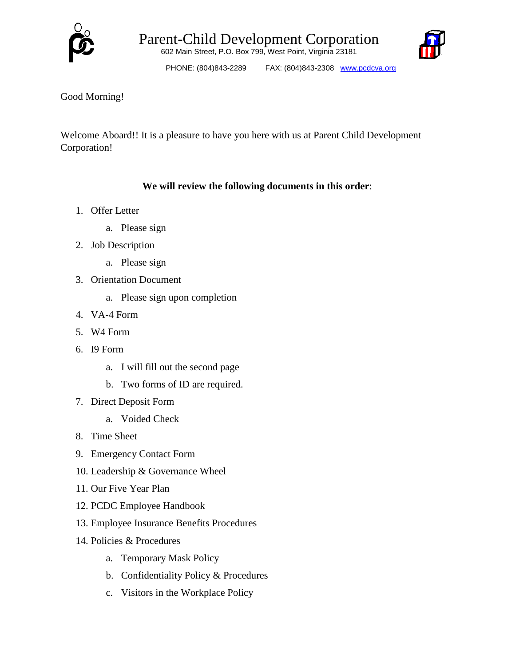



PHONE: (804)843-2289 FAX: (804)843-2308 www.pcdcva.org

## Good Morning!

Welcome Aboard!! It is a pleasure to have you here with us at Parent Child Development Corporation!

## **We will review the following documents in this order**:

- 1. Offer Letter
	- a. Please sign
- 2. Job Description
	- a. Please sign
- 3. Orientation Document
	- a. Please sign upon completion
- 4. VA-4 Form
- 5. W4 Form
- 6. I9 Form
	- a. I will fill out the second page
	- b. Two forms of ID are required.
- 7. Direct Deposit Form
	- a. Voided Check
- 8. Time Sheet
- 9. Emergency Contact Form
- 10. Leadership & Governance Wheel
- 11. Our Five Year Plan
- 12. PCDC Employee Handbook
- 13. Employee Insurance Benefits Procedures
- 14. Policies & Procedures
	- a. Temporary Mask Policy
	- b. Confidentiality Policy & Procedures
	- c. Visitors in the Workplace Policy